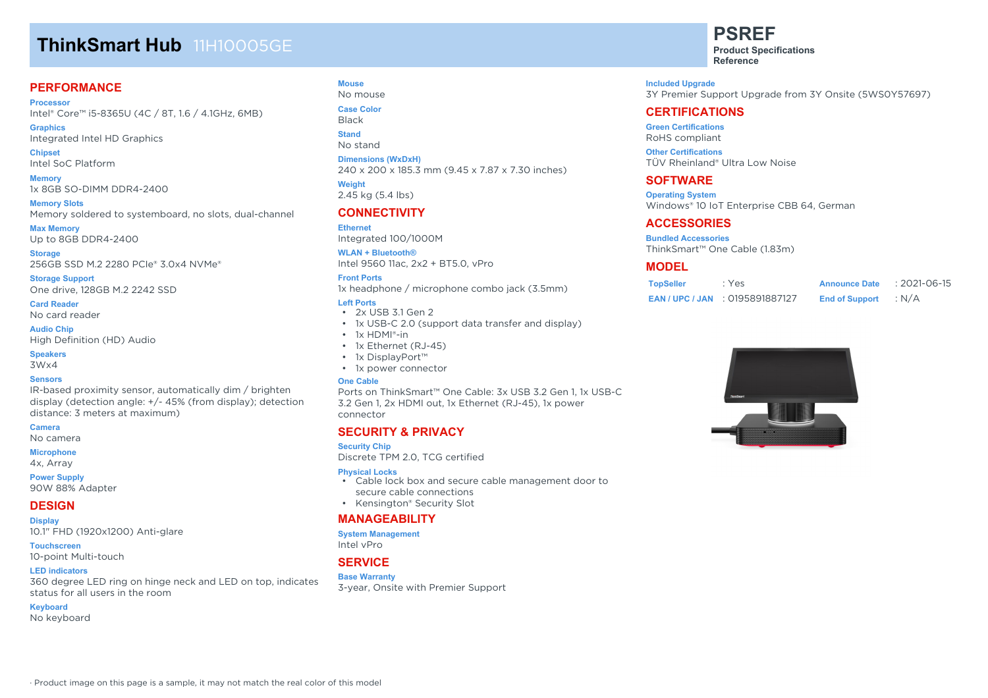# **ThinkSmart Hub** 11H10005GE

# **PERFORMANCE**

**Processor** Intel® Core™ i5-8365U (4C / 8T, 1.6 / 4.1GHz, 6MB)

**Graphics** Integrated Intel HD Graphics

**Chipset** Intel SoC Platform

**Memory** 1x 8GB SO-DIMM DDR4-2400

**Memory Slots** Memory soldered to systemboard, no slots, dual-channel

**Max Memory** Up to 8GB DDR4-2400

**Storage** 256GB SSD M.2 2280 PCIe® 3.0x4 NVMe®

**Storage Support** One drive, 128GB M.2 2242 SSD

**Card Reader** No card reader

**Audio Chip** High Definition (HD) Audio

#### **Speakers**

3Wx4

#### **Sensors**

IR-based proximity sensor, automatically dim / brighten display (detection angle: +/- 45% (from display); detection distance: 3 meters at maximum)

**Camera**

No camera

**Microphone**

4x, Array

**Power Supply** 90W 88% Adapter

## **DESIGN**

**Display** 10.1" FHD (1920x1200) Anti-glare

**Touchscreen** 10-point Multi-touch

#### **LED indicators**

360 degree LED ring on hinge neck and LED on top, indicates status for all users in the room

#### **Keyboard**

No keyboard

### **Mouse**

No mouse **Case Color**

Black **Stand**

No stand

**Dimensions (WxDxH)**

240 x 200 x 185.3 mm (9.45 x 7.87 x 7.30 inches) **Weight**

2.45 kg (5.4 lbs)

# **CONNECTIVITY**

**Ethernet** Integrated 100/1000M

**WLAN + Bluetooth®** Intel 9560 11ac, 2x2 + BT5.0, vPro

#### **Front Ports**

1x headphone / microphone combo jack (3.5mm)

#### **Left Ports**

- 2x USB 3.1 Gen 2
- 1x USB-C 2.0 (support data transfer and display)
- 1x HDMI®-in
- 1x Ethernet (RJ-45)
- 1x DisplayPort™
- 1x power connector

#### **One Cable**

Ports on ThinkSmart™ One Cable: 3x USB 3.2 Gen 1, 1x USB-C 3.2 Gen 1, 2x HDMI out, 1x Ethernet (RJ-45), 1x power connector

## **SECURITY & PRIVACY**

#### **Security Chip**

Discrete TPM 2.0, TCG certified

#### **Physical Locks**

- Cable lock box and secure cable management door to secure cable connections
- Kensington® Security Slot

## **MANAGEABILITY**

### **System Management**

Intel vPro

# **SERVICE**

#### **Base Warranty**

3-year, Onsite with Premier Support

**PSREF Product Specifications Reference**

**Included Upgrade** 3Y Premier Support Upgrade from 3Y Onsite (5WS0Y57697)

# **CERTIFICATIONS**

**Green Certifications** RoHS compliant

**Other Certifications** TÜV Rheinland® Ultra Low Noise

## **SOFTWARE**

**Operating System** Windows® 10 IoT Enterprise CBB 64, German

## **ACCESSORIES**

**Bundled Accessories** ThinkSmart™ One Cable (1.83m)

# **MODEL**

| <b>TopSeller</b> | : Yes                              | <b>Announce Date</b>  | $: 2021 - 06 - 15$ |
|------------------|------------------------------------|-----------------------|--------------------|
|                  | <b>EAN/UPC/JAN : 0195891887127</b> | <b>End of Support</b> | : $N/A$            |